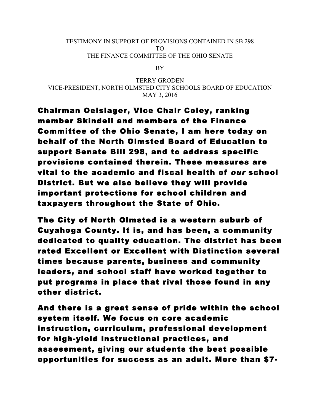## TESTIMONY IN SUPPORT OF PROVISIONS CONTAINED IN SB 298 TO THE FINANCE COMMITTEE OF THE OHIO SENATE

BY

TERRY GRODEN VICE-PRESIDENT, NORTH OLMSTED CITY SCHOOLS BOARD OF EDUCATION MAY 3, 2016

Chairman Oelslager, Vice Chair Coley, ranking member Skindell and members of the Finance Committee of the Ohio Senate, I am here today on behalf of the North Olmsted Board of Education to support Senate Bill 298, and to address specific provisions contained therein. These measures are vital to the academic and fiscal health of our school District. But we also believe they will provide important protections for school children and taxpayers throughout the State of Ohio.

The City of North Olmsted is a western suburb of Cuyahoga County. It is, and has been, a community dedicated to quality education. The district has been rated Excellent or Excellent with Distinction several times because parents, business and community leaders, and school staff have worked together to put programs in place that rival those found in any other district.

And there is a great sense of pride within the school system itself. We focus on core academic instruction, curriculum, professional development for high-yield instructional practices, and assessment, giving our students the best possible opportunities for success as an adult. More than \$7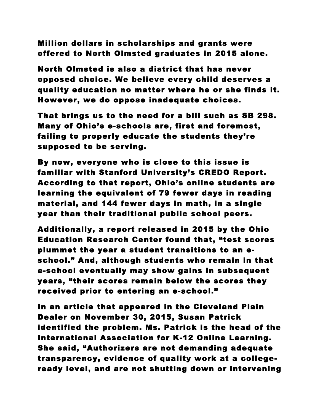Million dollars in scholarships and grants were offered to North Olmsted graduates in 2015 alone.

North Olmsted is also a district that has never opposed choice. We believe every child deserves a quality education no matter where he or she finds it. However, we do oppose inadequate choices.

That brings us to the need for a bill such as SB 298. Many of Ohio's e-schools are, first and foremost, failing to properly educate the students they're supposed to be serving.

By now, everyone who is close to this issue is familiar with Stanford University's CREDO Report. According to that report, Ohio's online students are learning the equivalent of 79 fewer days in reading material, and 144 fewer days in math, in a single year than their traditional public school peers.

Additionally, a report released in 2015 by the Ohio Education Research Center found that, "test scores plummet the year a student transitions to an eschool." And, although students who remain in that e-school eventually may show gains in subsequent years, "their scores remain below the scores they received prior to entering an e-school."

In an article that appeared in the Cleveland Plain Dealer on November 30, 2015, Susan Patrick identified the problem. Ms. Patrick is the head of the International Association for K-12 Online Learning. She said, "Authorizers are not demanding adequate transparency, evidence of quality work at a collegeready level, and are not shutting down or intervening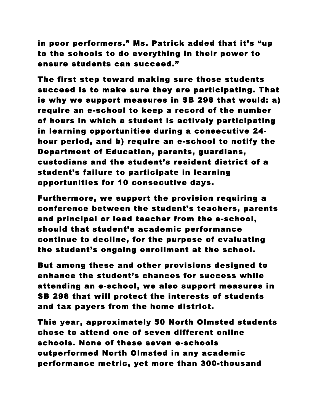in poor performers." Ms. Patrick added that it's "up to the schools to do everything in their power to ensure students can succeed."

The first step toward making sure those students succeed is to make sure they are participating. That is why we support measures in SB 298 that would: a) require an e-school to keep a record of the number of hours in which a student is actively participating in learning opportunities during a consecutive 24 hour period, and b) require an e-school to notify the Department of Education, parents, guardians, custodians and the student's resident district of a student's failure to participate in learning opportunities for 10 consecutive days.

Furthermore, we support the provision requiring a conference between the student's teachers, parents and principal or lead teacher from the e-school, should that student's academic performance continue to decline, for the purpose of evaluating the student's ongoing enrollment at the school.

But among these and other provisions designed to enhance the student's chances for success while attending an e-school, we also support measures in SB 298 that will protect the interests of students and tax payers from the home district.

This year, approximately 50 North Olmsted students chose to attend one of seven different online schools. None of these seven e-schools outperformed North Olmsted in any academic performance metric, yet more than 300-thousand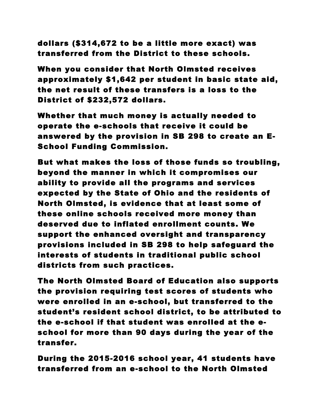dollars (\$314,672 to be a little more exact) was transferred from the District to these schools.

When you consider that North Olmsted receives approximately \$1,642 per student in basic state aid, the net result of these transfers is a loss to the District of \$232,572 dollars.

Whether that much money is actually needed to operate the e-schools that receive it could be answered by the provision in SB 298 to create an E-School Funding Commission.

But what makes the loss of those funds so troubling, beyond the manner in which it compromises our ability to provide all the programs and services expected by the State of Ohio and the residents of North Olmsted, is evidence that at least some of these online schools received more money than deserved due to inflated enrollment counts. We support the enhanced oversight and transparency provisions included in SB 298 to help safeguard the interests of students in traditional public school districts from such practices.

The North Olmsted Board of Education also supports the provision requiring test scores of students who were enrolled in an e-school, but transferred to the student's resident school district, to be attributed to the e-school if that student was enrolled at the eschool for more than 90 days during the year of the transfer.

During the 2015-2016 school year, 41 students have transferred from an e-school to the North Olmsted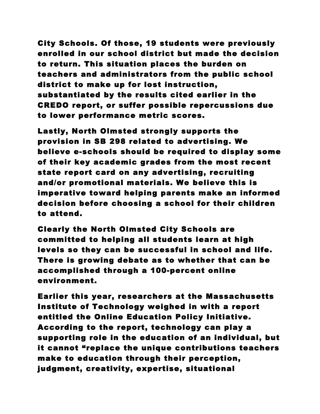City Schools. Of those, 19 students were previously enrolled in our school district but made the decision to return. This situation places the burden on teachers and administrators from the public school district to make up for lost instruction, substantiated by the results cited earlier in the CREDO report, or suffer possible repercussions due to lower performance metric scores.

Lastly, North Olmsted strongly supports the provision in SB 298 related to advertising. We believe e-schools should be required to display some of their key academic grades from the most recent state report card on any advertising, recruiting and/or promotional materials. We believe this is imperative toward helping parents make an informed decision before choosing a school for their children to attend.

Clearly the North Olmsted City Schools are committed to helping all students learn at high levels so they can be successful in school and life. There is growing debate as to whether that can be accomplished through a 100-percent online environment.

Earlier this year, researchers at the Massachusetts Institute of Technology weighed in with a report entitled the Online Education Policy Initiative. According to the report, technology can play a supporting role in the education of an individual, but it cannot "replace the unique contributions teachers make to education through their perception, judgment, creativity, expertise, situational